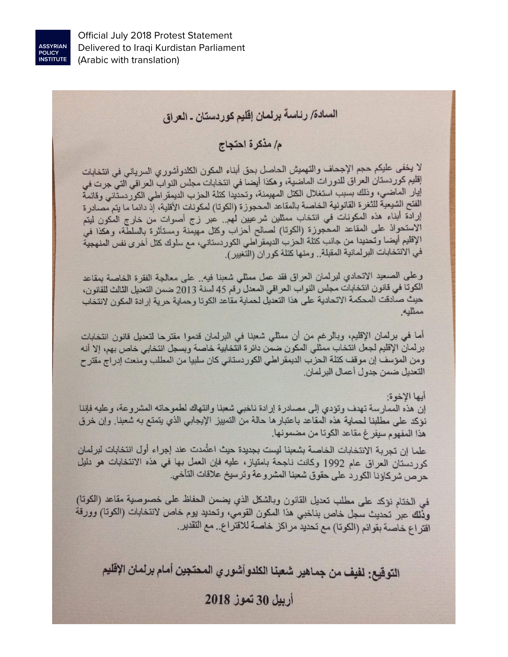

# السادة/ رئاسة برلمان إقليم كوردستان - العراق

## م / مذكرة احتجاج

لا يخفى عليكم حجم الإجحاف والتهميش الحاصل بحق أبناء المكون الكلدوآشوري السرياني في انتخابات إقليم كور دستان العراق للدور ات الماضية، و هكذا أيضا في انتخابات مجلس النواب العراقي التي جرت في إيار الماضي، وذلك بسبب استغلال الكتل المهيمنة، وتحديدا كتلة الحزب الديمقراطي الكوردستاني وقائمة الفتح الشيعية للثغرة القانونية الخاصة بالمقاعد المحجوزة (الكوتا) لمكونات الأقلية، إذ دانما ما يتم مصادرة إرادة أبناء هذه المكونات في انتخاب ممثلين شرعيين لهم.. عبر زج أصوات من خارج المكون ليتم الاستحواذ على المقاعد المحجوزة (الكوتا) لصالح أحزاب وكتل مهيمنة ومستأثرة بالسلطة، وهكذا في الإقليم أيضـا وتـحديدا من جانب كتلة الـحزب الديمقر اطـي الكور دستانـي، مـع سلوك كتل أخر ى نفس المنـهجية في الانتخابات البرلمانية المقبلة . ومنها كتلة كوران (التغيير).

وعلى الصعيد الاتحادي لبرلمان العراق فقد عمل ممثلي شعبنا فيه. على معالجة الفقرة الخاصة بمقاعد الكوتا في قانون انتخابات مجلس النواب العراقي المعدل رقم 45 لسنة 2013 ضمن التعديل الثالث للقانون، حيث صادقت المحكمة الاتحادية على هذا التعديل لحماية مقاعد الكوتا وحماية حرية إرادة المكون لانتخاب ممثليه.

أما في برلمان الإقليم، وبالرغم من أن ممثلي شعبنا في البرلمان قدموا مقترحا لتعديل قانون انتخابات برلمان الإقليم لجعل انتخاب ممثَّلي المكون ضمن دائرة انتخابية خاصة وبسجل انتخابي خاص بهم، إلا أنه ومن المؤسف إن موقف كتلة الحزب الديمقر اطي الكوردستاني كان سلبيا من المطلب ومنعت إدراج مقترح التعديل ضمن جدول أعمال البر لمان.

#### أيها الأخوة:

إن هذه الممارسة تهدف وتؤدي إلى مصادرة إرادة ناخبي شعبنا وانتهاك لطموحاته المشروعة، وعليه فإننا نؤكد على مطلبنا لحماية هذه المقاعد باعتبار ها حالة من التمييز الإيجابي الذي يتمتع به شعبنا. وإن خرق هذا المفهوم سيفر غ مقاعد الكوتا من مضمونها.

علما إن تجربة الانتخابات الخاصة بشعبنا ليست بجديدة حيث اعتُمدت عند إجراء أول انتخابات لبرلمان كور دستان العراق عام 1992 وكانت ناجحة بامتياز، عليه فإن العمل بها في هذه الانتخابات هو دليل حرص شركاؤنا الكورد على حقوق شعبنا المشروعة وترسيخ علاقات التأخي.

في الختام نؤكد على مطلب تعديل القانون وبالشكل الذي يضمن الحفاظ على خصوصية مقاعد (الكوتا) وذلك عبر تحديث سجل خاص بناخبي هذا المكون القومي، وتحديد يوم خاص لانتخابات (الكوتا) وورقة اقتراع خاصة بقوائم (الكوتا) مع تحديد مراكز خاصة للاقتراع.. مع التقدير.

التوقيع: لفيف من جماهير شعبنا الكلدوآشوري المحتجين أمام برلمان الإقليم

ادييل 30 تعوز 2018